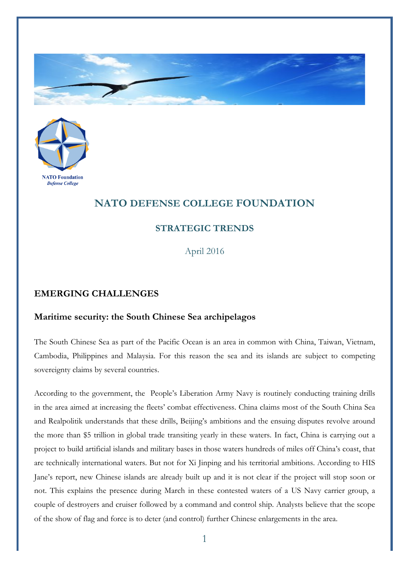



## **NATO DEFENSE COLLEGE FOUNDATION**

## **STRATEGIC TRENDS**

April 2016

## **EMERGING CHALLENGES**

## **Maritime security: the South Chinese Sea archipelagos**

The South Chinese Sea as part of the Pacific Ocean is an area in common with China, Taiwan, Vietnam, Cambodia, Philippines and Malaysia. For this reason the sea and its islands are subject to competing sovereignty claims by several countries.

According to the government, the People's Liberation Army Navy is routinely conducting training drills in the area aimed at increasing the fleets' combat effectiveness. China claims most of the South China Sea and Realpolitik understands that these drills, Beijing's ambitions and the ensuing disputes revolve around the more than \$5 trillion in global trade transiting yearly in these waters. In fact, China is carrying out a project to build artificial islands and military bases in those waters hundreds of miles off China's coast, that are technically international waters. But not for Xi Jinping and his territorial ambitions. According to HIS Jane's report, new Chinese islands are already built up and it is not clear if the project will stop soon or not. This explains the presence during March in these contested waters of a US Navy carrier group, a couple of destroyers and cruiser followed by a command and control ship. Analysts believe that the scope of the show of flag and force is to deter (and control) further Chinese enlargements in the area.